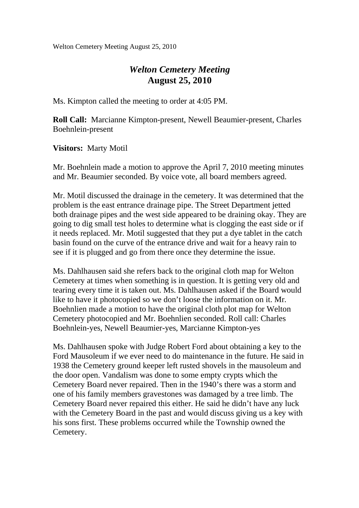Welton Cemetery Meeting August 25, 2010

## *Welton Cemetery Meeting*  **August 25, 2010**

Ms. Kimpton called the meeting to order at 4:05 PM.

**Roll Call:** Marcianne Kimpton-present, Newell Beaumier-present, Charles Boehnlein-present

**Visitors:** Marty Motil

Mr. Boehnlein made a motion to approve the April 7, 2010 meeting minutes and Mr. Beaumier seconded. By voice vote, all board members agreed.

Mr. Motil discussed the drainage in the cemetery. It was determined that the problem is the east entrance drainage pipe. The Street Department jetted both drainage pipes and the west side appeared to be draining okay. They are going to dig small test holes to determine what is clogging the east side or if it needs replaced. Mr. Motil suggested that they put a dye tablet in the catch basin found on the curve of the entrance drive and wait for a heavy rain to see if it is plugged and go from there once they determine the issue.

Ms. Dahlhausen said she refers back to the original cloth map for Welton Cemetery at times when something is in question. It is getting very old and tearing every time it is taken out. Ms. Dahlhausen asked if the Board would like to have it photocopied so we don't loose the information on it. Mr. Boehnlien made a motion to have the original cloth plot map for Welton Cemetery photocopied and Mr. Boehnlien seconded. Roll call: Charles Boehnlein-yes, Newell Beaumier-yes, Marcianne Kimpton-yes

Ms. Dahlhausen spoke with Judge Robert Ford about obtaining a key to the Ford Mausoleum if we ever need to do maintenance in the future. He said in 1938 the Cemetery ground keeper left rusted shovels in the mausoleum and the door open. Vandalism was done to some empty crypts which the Cemetery Board never repaired. Then in the 1940's there was a storm and one of his family members gravestones was damaged by a tree limb. The Cemetery Board never repaired this either. He said he didn't have any luck with the Cemetery Board in the past and would discuss giving us a key with his sons first. These problems occurred while the Township owned the Cemetery.